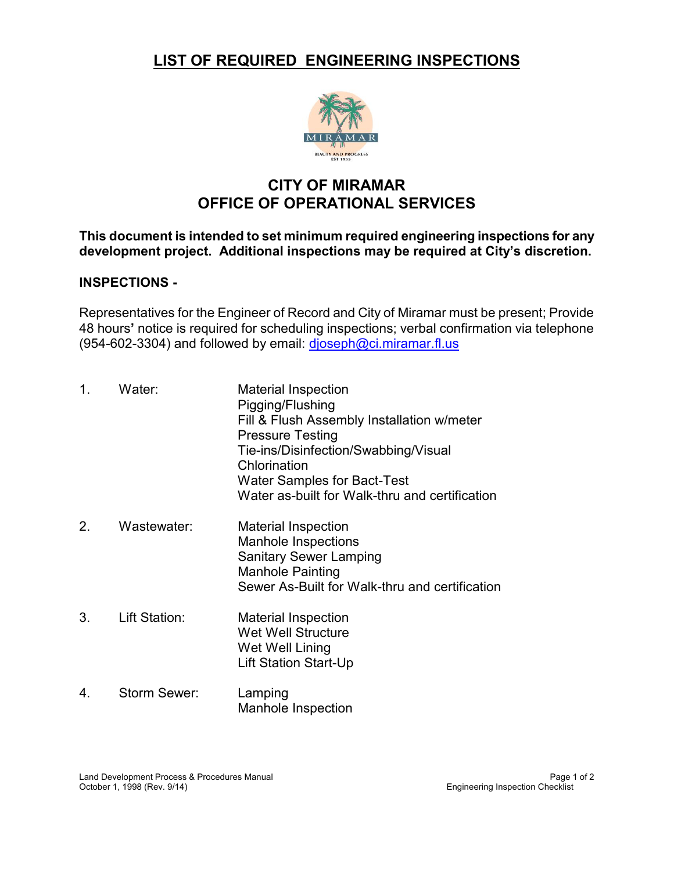## **LIST OF REQUIRED ENGINEERING INSPECTIONS**



# **CITY OF MIRAMAR OFFICE OF OPERATIONAL SERVICES**

### **This document is intended to set minimum required engineering inspections for any development project. Additional inspections may be required at City's discretion.**

#### **INSPECTIONS -**

Representatives for the Engineer of Record and City of Miramar must be present; Provide 48 hours**'** notice is required for scheduling inspections; verbal confirmation via telephone (954-602-3304) and followed by email: [djoseph@ci.miramar.fl.us](mailto:djoseph@ci.miramar.fl.us)

| 1. | Water:               | <b>Material Inspection</b><br>Pigging/Flushing<br>Fill & Flush Assembly Installation w/meter<br><b>Pressure Testing</b><br>Tie-ins/Disinfection/Swabbing/Visual<br>Chlorination<br><b>Water Samples for Bact-Test</b><br>Water as-built for Walk-thru and certification |
|----|----------------------|-------------------------------------------------------------------------------------------------------------------------------------------------------------------------------------------------------------------------------------------------------------------------|
| 2. | Wastewater:          | Material Inspection<br><b>Manhole Inspections</b><br><b>Sanitary Sewer Lamping</b><br><b>Manhole Painting</b><br>Sewer As-Built for Walk-thru and certification                                                                                                         |
| 3. | <b>Lift Station:</b> | <b>Material Inspection</b><br><b>Wet Well Structure</b><br>Wet Well Lining<br>Lift Station Start-Up                                                                                                                                                                     |
| 4. | Storm Sewer:         | Lamping<br><b>Manhole Inspection</b>                                                                                                                                                                                                                                    |